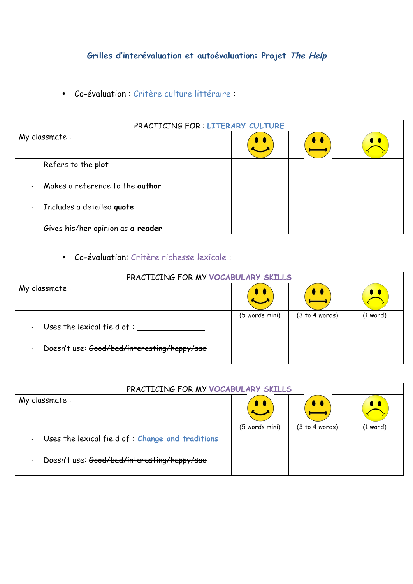## **Grilles d'interévaluation et autoévaluation: Projet The Help**

• Co-évaluation : Critère culture littéraire :

| PRACTICING FOR: LITERARY CULTURE                              |           |                    |                    |
|---------------------------------------------------------------|-----------|--------------------|--------------------|
| My classmate:                                                 | $\bullet$ | $\bullet\;\bullet$ | $\bullet\;\bullet$ |
| Refers to the plot<br>$\blacksquare$                          |           |                    |                    |
| Makes a reference to the <b>author</b><br>$\blacksquare$      |           |                    |                    |
| Includes a detailed quote<br>$\overline{\phantom{a}}$         |           |                    |                    |
| Gives his/her opinion as a reader<br>$\overline{\phantom{a}}$ |           |                    |                    |

• Co-évaluation: Critère richesse lexicale :

| PRACTICING FOR MY VOCABULARY SKILLS                                                                                                       |                     |                |            |
|-------------------------------------------------------------------------------------------------------------------------------------------|---------------------|----------------|------------|
| $My$ classmate :                                                                                                                          | $\bullet$ $\bullet$ |                |            |
| Uses the lexical field of : ______<br>$\overline{\phantom{a}}$<br>Doesn't use: Good/bad/interesting/happy/sad<br>$\overline{\phantom{a}}$ | (5 words mini)      | (3 to 4 words) | $(1$ word) |

| PRACTICING FOR MY VOCABULARY SKILLS                                          |                |                     |                     |
|------------------------------------------------------------------------------|----------------|---------------------|---------------------|
| $My$ classmate :                                                             |                | $\bullet\; \bullet$ | $\bullet$ $\bullet$ |
| Uses the lexical field of: Change and traditions<br>$\overline{\phantom{a}}$ | (5 words mini) | (3 to 4 words)      | $(1$ word)          |
| Doesn't use: Good/bad/interesting/happy/sad<br>$\overline{\phantom{a}}$      |                |                     |                     |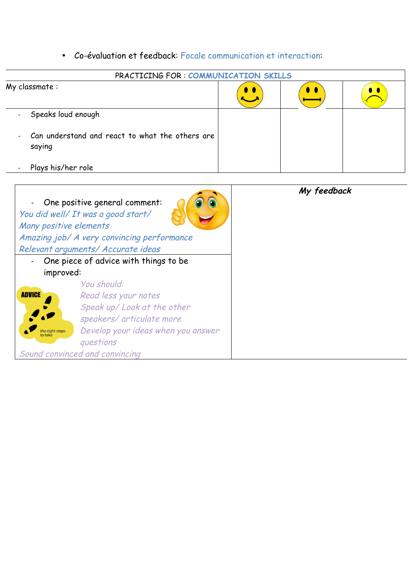## • Co-évaluation et feedback: Focale communication et interaction:

| PRACTICING FOR: COMMUNICATION SKILLS                                        |                     |  |
|-----------------------------------------------------------------------------|---------------------|--|
| My classmate:                                                               | $\bullet$ $\bullet$ |  |
| Speaks loud enough<br>$\blacksquare$                                        |                     |  |
| Can understand and react to what the others are<br>$\blacksquare$<br>saying |                     |  |
| Plays his/her role<br>$\overline{\phantom{0}}$                              |                     |  |

| Many positive elements     | One positive general comment:<br>You did well/ It was a good start/ | My feedback |
|----------------------------|---------------------------------------------------------------------|-------------|
|                            | Amazing job/ A very convincing performance                          |             |
|                            | Relevant arguments/ Accurate ideas                                  |             |
|                            | One piece of advice with things to be                               |             |
| improved:                  |                                                                     |             |
|                            | You should:                                                         |             |
| <b>ADVICE</b>              | Read less your notes                                                |             |
|                            | Speak up/ Look at the other                                         |             |
|                            | speakers/ articulate more                                           |             |
| the right steps<br>to take | Develop your ideas when you answer                                  |             |
|                            | questions                                                           |             |
|                            | Sound convinced and convincing                                      |             |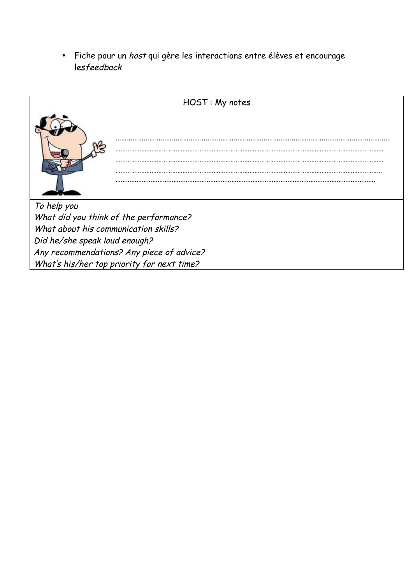• Fiche pour un host qui gère les interactions entre élèves et encourage lesfeedback